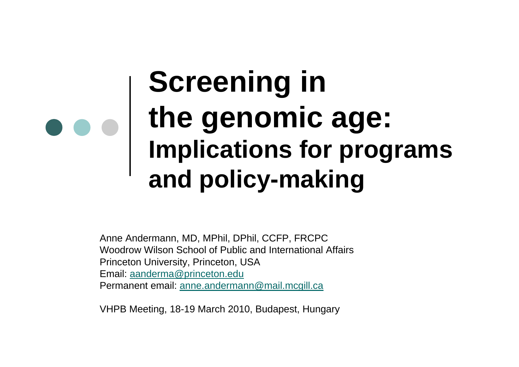## **Screening in the genomic age: Implications for programs and policy-making**

Anne Andermann, MD, MPhil, DPhil, CCFP, FRCPC Woodrow Wilson School of Public and International Affairs Princeton University, Princeton, USA Email: [aanderma@princeton.edu](mailto:aanderma@princeton.edu) Permanent email: [anne.andermann@mail.mcgill.ca](mailto:anne.andermann@mail.mcgill.ca)

VHPB Meeting, 18-19 March 2010, Budapest, Hungary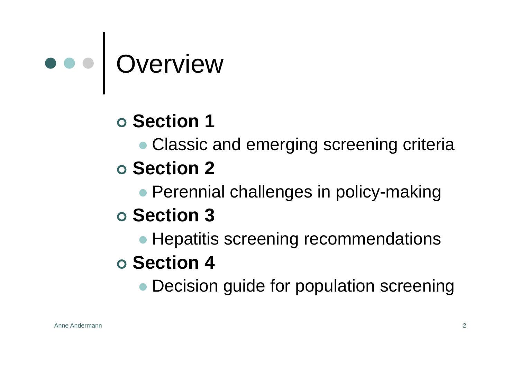

#### | **Section 1**

• Classic and emerging screening criteria

#### | **Section 2**

• Perennial challenges in policy-making

#### | **Section 3**

• Hepatitis screening recommendations

#### | **Section 4**

• Decision guide for population screening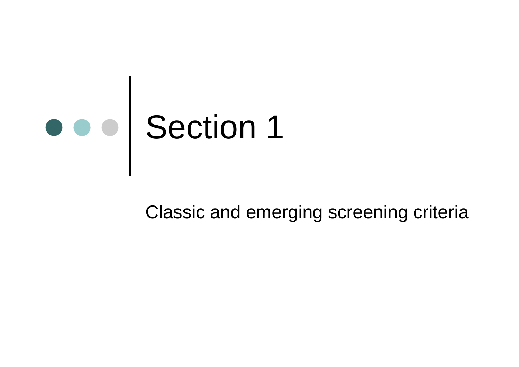

#### Classic and emerging screening criteria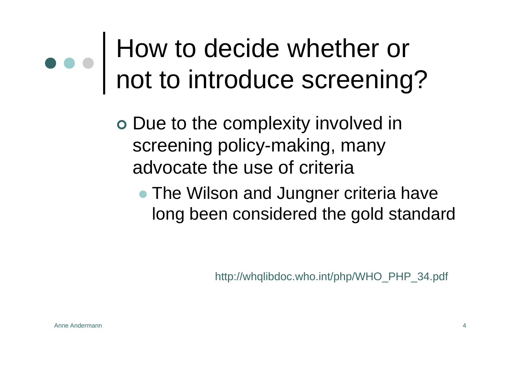## How to decide whether or not to introduce screening?

o Due to the complexity involved in screening policy-making, many advocate the use of criteria

• The Wilson and Jungner criteria have long been considered the gold standard

http://whqlibdoc.who.int/php/WHO\_PHP\_34.pdf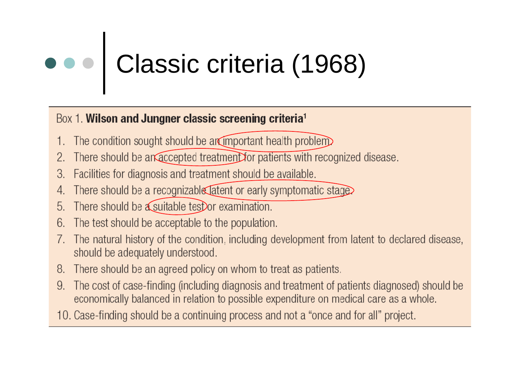# Classic criteria (1968)

#### Box 1. Wilson and Jungner classic screening criteria<sup>1</sup>

- The condition sought should be arrimportant health problem
- There should be an accepted treatment for patients with recognized disease. 2.
- Facilities for diagnosis and treatment should be available. 3.
- There should be a recognizable atent or early symptomatic stage
- There should be a suitable test or examination. 5.
- The test should be acceptable to the population. 6.

Anne Andermann

- The natural history of the condition, including development from latent to declared disease, should be adequately understood.
- There should be an agreed policy on whom to treat as patients. 8.
- The cost of case-finding (including diagnosis and treatment of patients diagnosed) should be 9. economically balanced in relation to possible expenditure on medical care as a whole.

<u>5 - Jan James James James James James James James James James James James James James James James James James</u>

10. Case-finding should be a continuing process and not a "once and for all" project.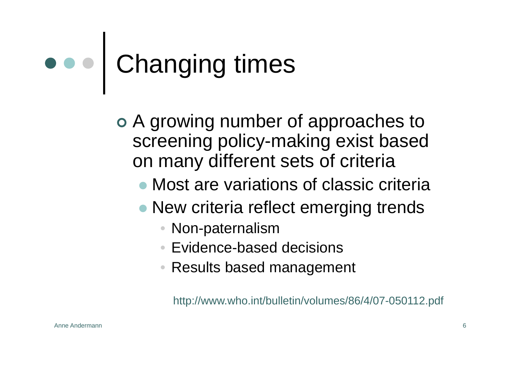## Changing times

o A growing number of approaches to screening policy-making exist based on many different sets of criteria

- Most are variations of classic criteria
- New criteria reflect emerging trends
	- Non-paternalism
	- Evidence-based decisions
	- Results based management

http://www.who.int/bulletin/volumes/86/4/07-050112.pdf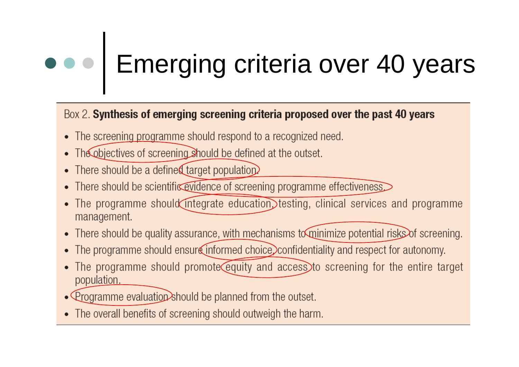## **DOO** Emerging criteria over 40 years

#### Box 2. Synthesis of emerging screening criteria proposed over the past 40 years

- The screening programme should respond to a recognized need.
- The objectives of screening should be defined at the outset.
- There should be a defined target population.

Anne Andermann

- There should be scientific evidence of screening programme effectiveness.
- The programme should integrate education testing, clinical services and programme management.
- There should be quality assurance, with mechanisms to minimize potential risks of screening.
- The programme should ensure informed choice, confidentiality and respect for autonomy.
- The programme should promote equity and access to screening for the entire target population.

<u>77 - Johann Stoff, amerikan bestemanns foar it ferskearre fan de ferskearre fan de ferskearre fan de ferskear</u>

- Programme evaluation should be planned from the outset.
- The overall benefits of screening should outweigh the harm.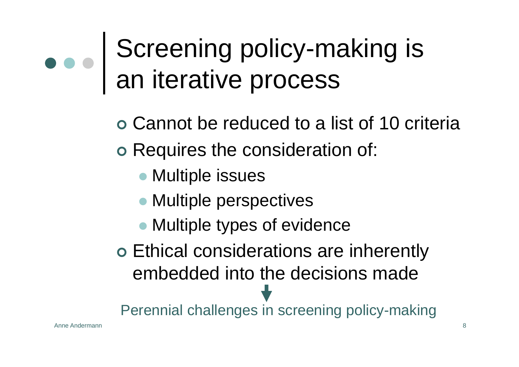## Screening policy-making is an iterative process

o Cannot be reduced to a list of 10 criteria o Requires the consideration of:

- Multiple issues
- Multiple perspectives
- Multiple types of evidence

o Ethical considerations are inherently embedded into the decisions made

Perennial challenges in screening policy-making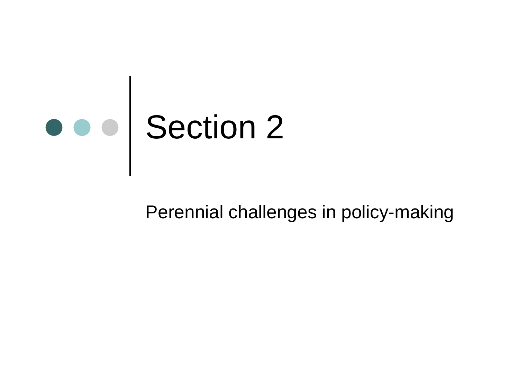

#### Perennial challenges in policy-making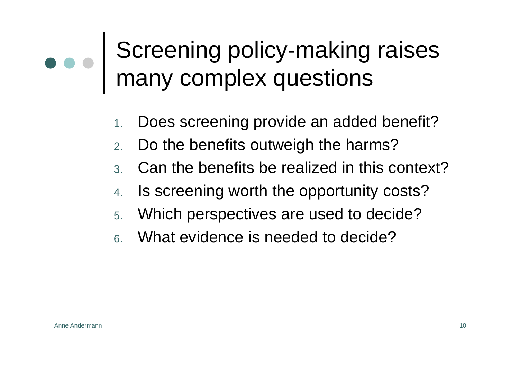### Screening policy-making raises many complex questions

- 1.Does screening provide an added benefit?
- 2.Do the benefits outweigh the harms?
- 3. Can the benefits be realized in this context?
- 4.Is screening worth the opportunity costs?
- 5. Which perspectives are used to decide?
- 6. What evidence is needed to decide?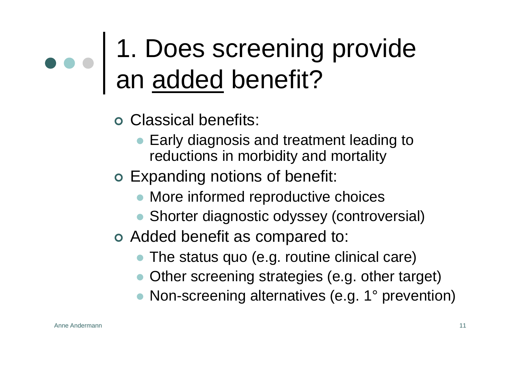## 1. Does screening provide an added benefit?

- | Classical benefits:
	- $\bullet$  Early diagnosis and treatment leading to reductions in morbidity and mortality
- o Expanding notions of benefit:
	- More informed reproductive choices
	- Shorter diagnostic odyssey (controversial)
- o Added benefit as compared to:
	- The status quo (e.g. routine clinical care)
	- Other screening strategies (e.g. other target)
	- Non-screening alternatives (e.g. 1° prevention)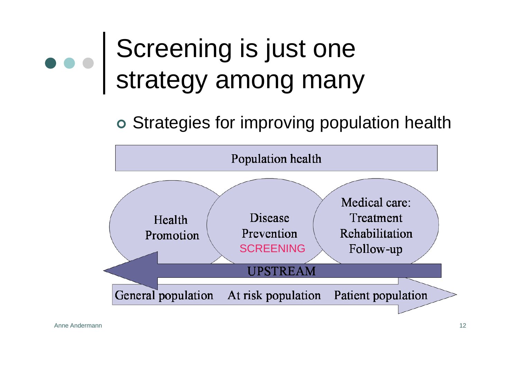## Screening is just one strategy among many

#### o Strategies for improving population health

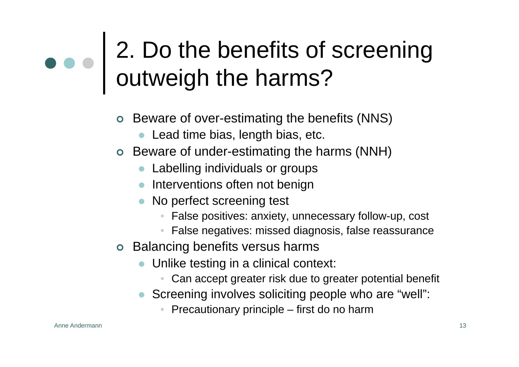### 2. Do the benefits of screening outweigh the harms?

- | Beware of over-estimating the benefits (NNS)
	- $\bullet$ Lead time bias, length bias, etc.
- | Beware of under-estimating the harms (NNH)
	- $\bullet$ Labelling individuals or groups
	- Interventions often not benign
	- No perfect screening test
		- •False positives: anxiety, unnecessary follow-up, cost
		- •False negatives: missed diagnosis, false reassurance
- o Balancing benefits versus harms
	- $\bullet$  Unlike testing in a clinical context:
		- •Can accept greater risk due to greater potential benefit
	- Screening involves soliciting people who are "well":
		- •Precautionary principle – first do no harm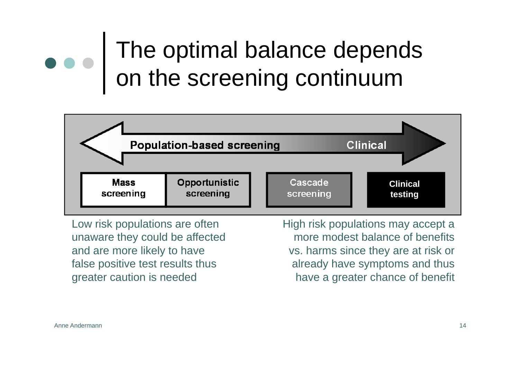### The optimal balance depends on the screening continuum



Low risk populations are often unaware they could be affected and are more likely to have false positive test results thus greater caution is needed

High risk populations may accept a more modest balance of benefits vs. harms since they are at risk or already have symptoms and thus have a greater chance of benefit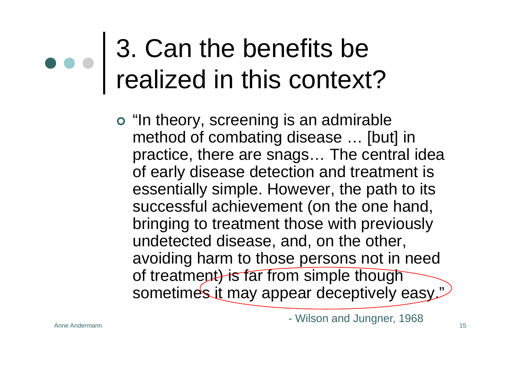## 3. Can the benefits be realized in this context?

o "In theory, screening is an admirable method of combating disease … [but] in practice, there are snags… The central idea of early disease detection and treatment is essentially simple. However, the path to its successful achievement (on the one hand, bringing to treatment those with previously undetected disease, and, on the other, avoiding harm to those persons not in need of treatment) is far from simple though sometimes it may appear deceptively easy."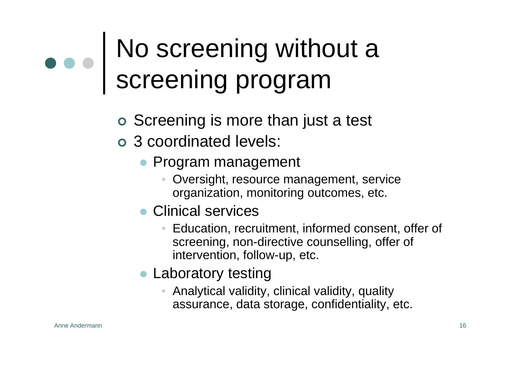## No screening without a screening program

- o Screening is more than just a test
- o 3 coordinated levels:
	- Program management
		- • Oversight, resource management, service organization, monitoring outcomes, etc.
	- Clinical services
		- Education, recruitment, informed consent, offer of screening, non-directive counselling, offer of intervention, follow-up, etc.
	- Laboratory testing
		- • Analytical validity, clinical validity, quality assurance, data storage, confidentiality, etc.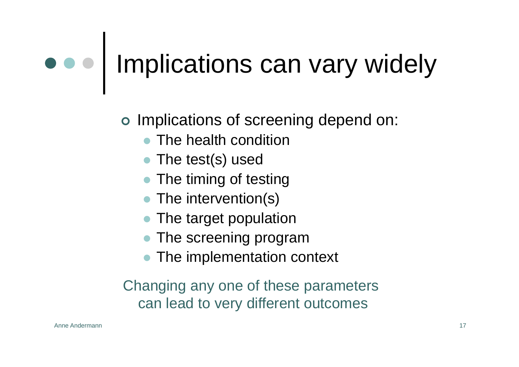## o o  $\vert$  Implications can vary widely

o Implications of screening depend on:

- $\bullet$ The health condition
- The test(s) used
- $\bullet$ The timing of testing
- The intervention(s)
- $\bullet$ The target population
- $\bullet$ The screening program
- $\bullet$ The implementation context

Changing any one of these parameters can lead to very different outcomes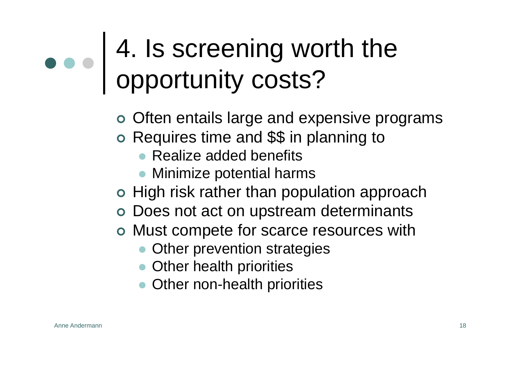## 4. Is screening worth the opportunity costs?

o Often entails large and expensive programs

- o Requires time and \$\$ in planning to
	- Realize added benefits
	- Minimize potential harms
- o High risk rather than population approach
- o Does not act on upstream determinants
- o Must compete for scarce resources with
	- Other prevention strategies
	- Other health priorities
	- Other non-health priorities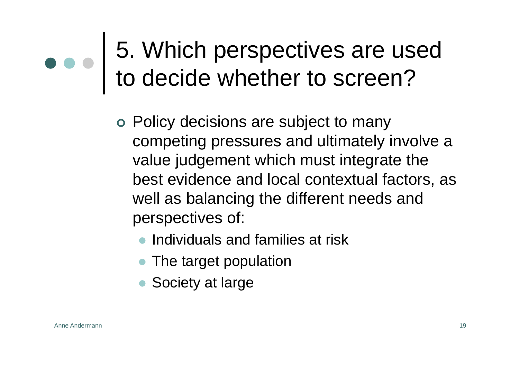### 5. Which perspectives are used to decide whether to screen?

- o Policy decisions are subject to many competing pressures and ultimately involve a value judgement which must integrate the best evidence and local contextual factors, as well as balancing the different needs and perspectives of:
	- $\bullet$ Individuals and families at risk
	- The target population
	- Society at large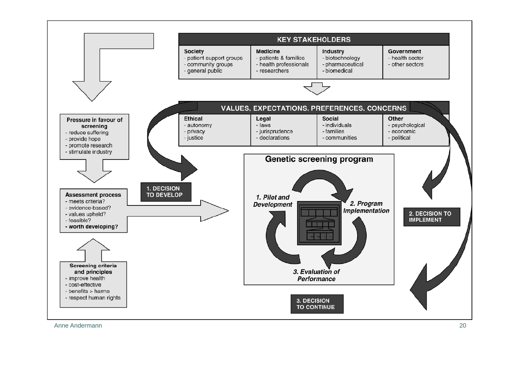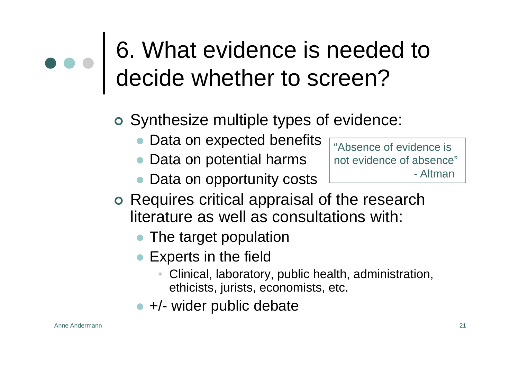### 6. What evidence is needed to decide whether to screen?

- o Synthesize multiple types of evidence:
	- $\bullet$ Data on expected benefits
	- Data on potential harms
	- $\bullet$ Data on opportunity costs

"Absence of evidence isnot evidence of absence"- Altman

- o Requires critical appraisal of the research literature as well as consultations with:
	- $\bullet$ The target population
	- Experts in the field
		- $\bullet$  Clinical, laboratory, public health, administration, ethicists, jurists, economists, etc.
	- +/- wider public debate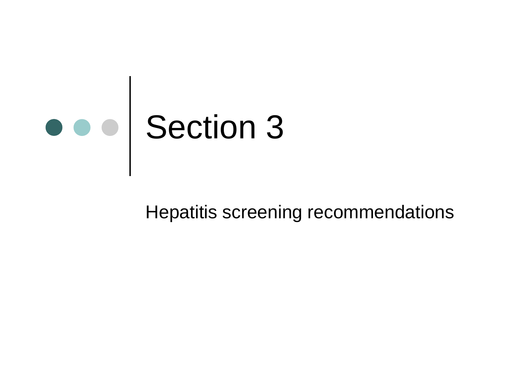

#### Hepatitis screening recommendations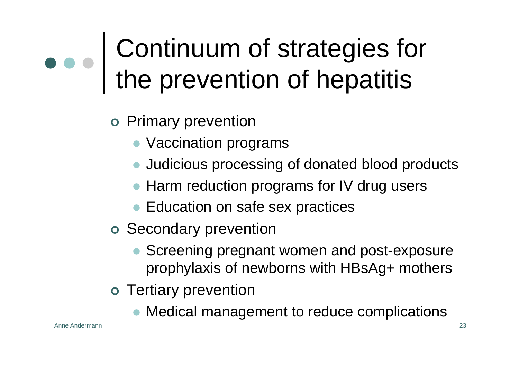## Continuum of strategies for the prevention of hepatitis

- o Primary prevention
	- Vaccination programs
	- Judicious processing of donated blood products
	- Harm reduction programs for IV drug users
	- Education on safe sex practices
- o Secondary prevention
	- $\bullet$  Screening pregnant women and post-exposure prophylaxis of newborns with HBsAg+ mothers
- o Tertiary prevention
	- Medical management to reduce complications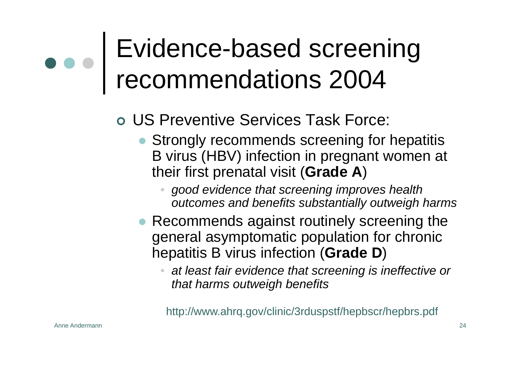## Evidence-based screening recommendations 2004

#### | US Preventive Services Task Force:

- Strongly recommends screening for hepatitis B virus (HBV) infection in pregnant women at their first prenatal visit (**Grade A**)
	- • *good evidence that screening improves health outcomes and benefits substantially outweigh harms*
- Recommends against routinely screening the general asymptomatic population for chronic hepatitis B virus infection (**Grade D**)
	- • *at least fair evidence that screening is ineffective or that harms outweigh benefits*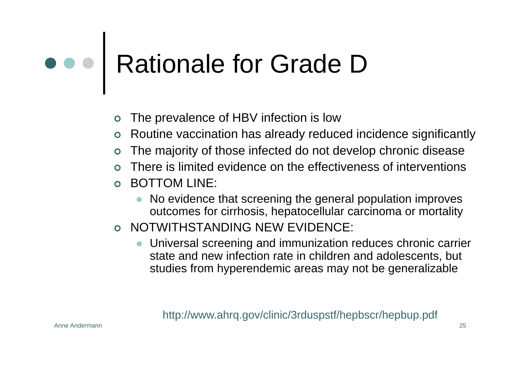# Rationale for Grade D

- $\bullet$ The prevalence of HBV infection is low
- | Routine vaccination has already reduced incidence significantly
- $\mathsf O$ The majority of those infected do not develop chronic disease
- $\mathsf O$ There is limited evidence on the effectiveness of interventions
- $\mathsf O$  BOTTOM LINE:
	- $\bullet$  No evidence that screening the general population improves outcomes for cirrhosis, hepatocellular carcinoma or mortality
- | NOTWITHSTANDING NEW EVIDENCE:
	- Universal screening and immunization reduces chronic carrier state and new infection rate in children and adolescents, but studies from hyperendemic areas may not be generalizable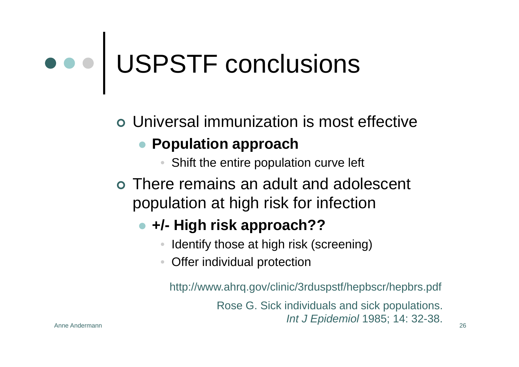# USPSTF conclusions

| Universal immunization is most effective

#### **• Population approach**

- •Shift the entire population curve left
- | There remains an adult and adolescent population at high risk for infection

#### z **+/- High risk approach??**

- •Identify those at high risk (screening)
- •Offer individual protection

http://www.ahrq.gov/clinic/3rduspstf/hepbscr/hepbrs.pdf

n 26 Rose G. Sick individuals and sick populations. *Int J Epidemiol* 1985; 14: 32-38.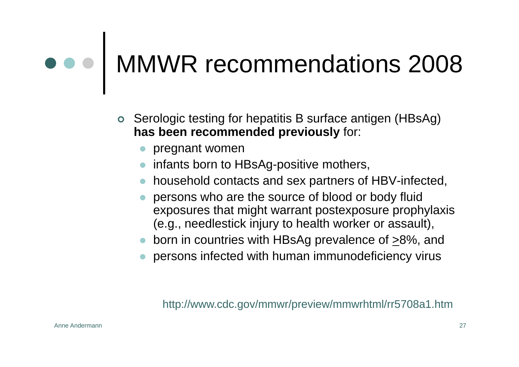## MMWR recommendations 2008

- | Serologic testing for hepatitis B surface antigen (HBsAg) **has been recommended previously** for:
	- $\bullet$  pregnant women
	- $\bullet$  infants born to HBsAg-positive mothers,
	- $\bullet$  household contacts and sex partners of HBV-infected,
	- $\bullet$  persons who are the source of blood or body fluid exposures that might warrant postexposure prophylaxis (e.g., needlestick injury to health worker or assault),
	- born in countries with HBsAg prevalence of  $\geq$ 8%, and
	- $\bullet$ persons infected with human immunodeficiency virus

http://www.cdc.gov/mmwr/preview/mmwrhtml/rr5708a1.htm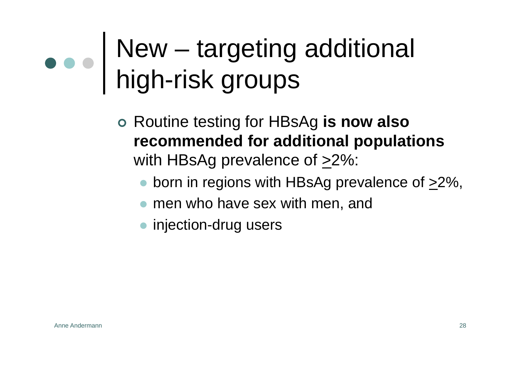## New – targeting additional high-risk groups

- | Routine testing for HBsAg **is now also recommended for additional populations** with HBsAg prevalence of  $\geq$ 2%:
	- born in regions with HBsAg prevalence of  $\geq$ 2%,
	- $\bullet$  men who have sex with men, and
	- injection-drug users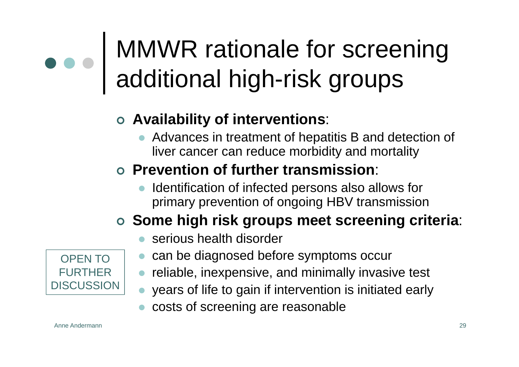## MMWR rationale for screening additional high-risk groups

#### | **Availability of interventions**:

 $\bullet$  Advances in treatment of hepatitis B and detection of liver cancer can reduce morbidity and mortality

#### | **Prevention of further transmission**:

 $\bullet$  Identification of infected persons also allows for primary prevention of ongoing HBV transmission

#### | **Some high risk groups meet screening criteria**:

- $\bullet$ serious health disorder
- $\bullet$ can be diagnosed before symptoms occur
- $\bullet$ reliable, inexpensive, and minimally invasive test
- $\bullet$ years of life to gain if intervention is initiated early
- $\bullet$ costs of screening are reasonable

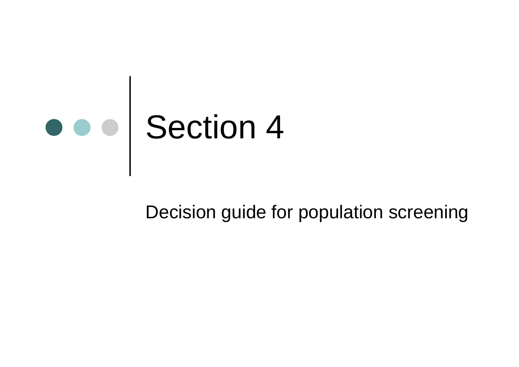

Decision guide for population screening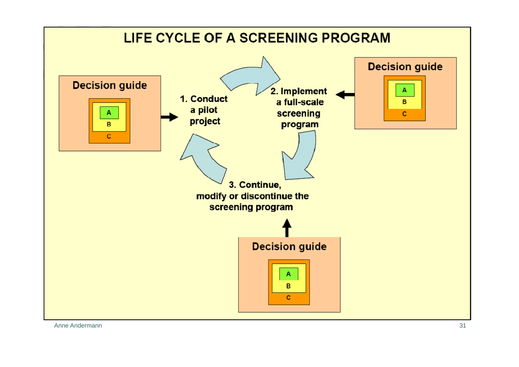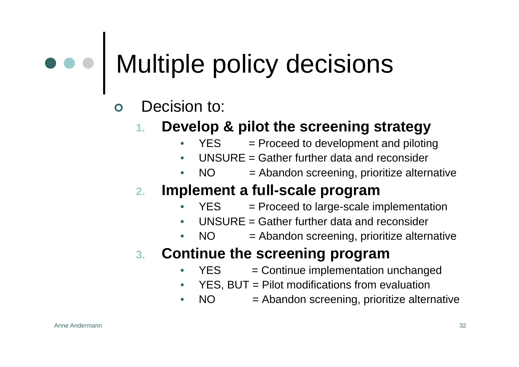# Multiple policy decisions

- $\mathbf{O}$  Decision to:
	- **1. Develop & pilot the screening strategy**
		- • $YES = Proceed to development and piloting$
		- •UNSURE = Gather further data and reconsider
		- • $NO = Abandon screening, prioritize alternative$

#### **2.Implement a full-scale program**

- • $YES = Proceed to large-scale implementation$
- •UNSURE = Gather further data and reconsider
- • $NO = Abandon screening, prioritize alternative$

#### **3. Continue the screening program**

- • $YES = Continue implementation unchanged$
- •YES, BUT = Pilot modifications from evaluation
- • $NO = Abandon screening,$  prioritize alternative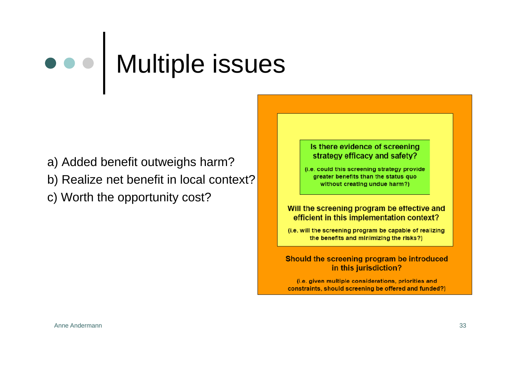## Multiple issues

- a) Added benefit outweighs harm?
- b) Realize net benefit in local context?
- c) Worth the opportunity cost?

#### Is there evidence of screening strategy efficacy and safety?

(i.e. could this screening strategy provide greater benefits than the status quo without creating undue harm?)

#### Will the screening program be effective and efficient in this implementation context?

(i.e. will the screening program be capable of realizing the benefits and minimizing the risks?)

#### Should the screening program be introduced in this jurisdiction?

(i.e. given multiple considerations, priorities and constraints, should screening be offered and funded?)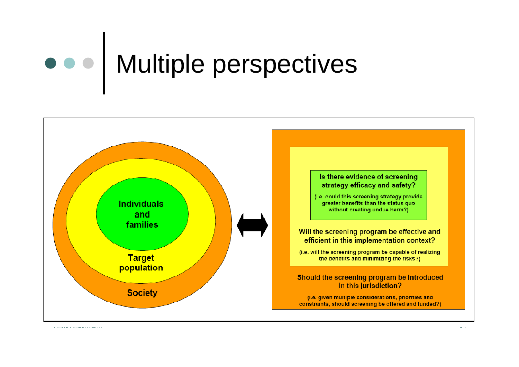## Multiple perspectives

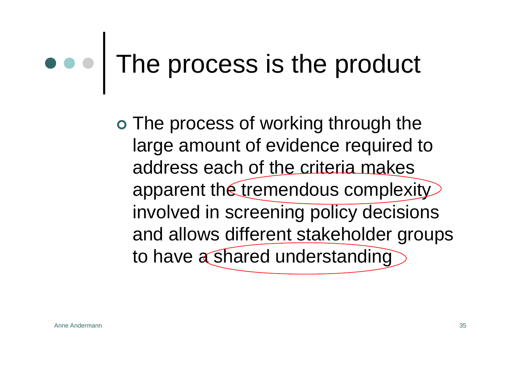## The process is the product

o The process of working through the large amount of evidence required to address each of the criteria makes apparent the tremendous complexity involved in screening policy decisions and allows different stakeholder groups to have a shared understanding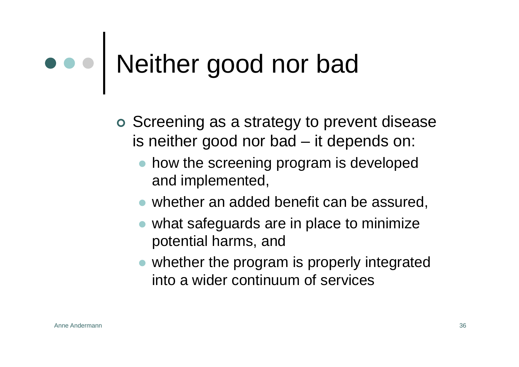## Neither good nor bad

- o Screening as a strategy to prevent disease is neither good nor bad – it depends on:
	- $\bullet$  how the screening program is developed and implemented,
	- $\bullet$  whether an added benefit can be assured,
	- $\bullet$  what safeguards are in place to minimize potential harms, and
	- $\bullet$  whether the program is properly integrated into a wider continuum of services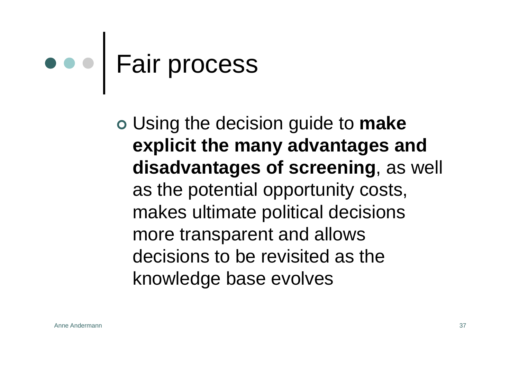# Fair process

| Using the decision guide to **make explicit the many advantages and disadvantages of screening**, as well as the potential opportunity costs, makes ultimate political decisions more transparent and allows decisions to be revisited as the knowledge base evolves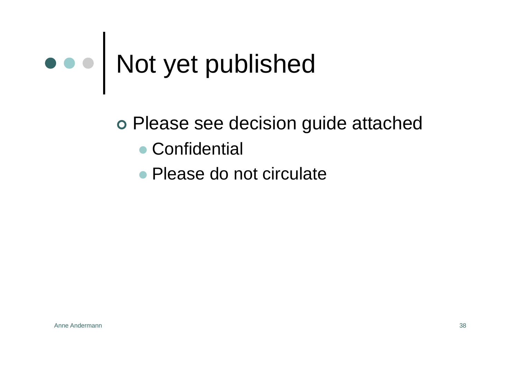# Not yet published

o Please see decision guide attached

- Confidential
- Please do not circulate